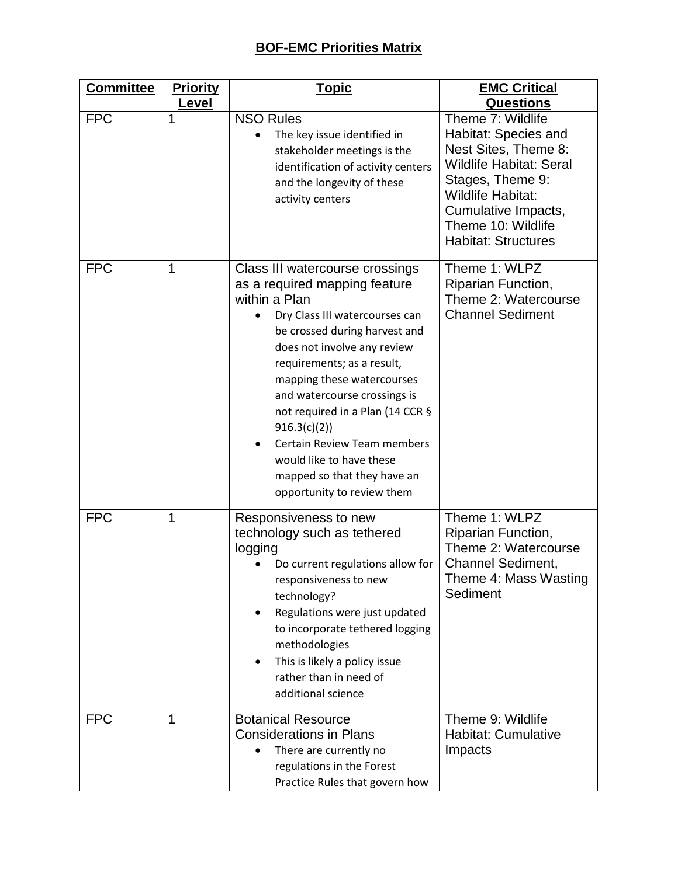| <b>Committee</b> | <b>Priority</b> | <b>Topic</b>                                                                                                                                                                                                                                                                                                                                                                                                                                                      | <b>EMC Critical</b>                                                                                                                                                                                                            |
|------------------|-----------------|-------------------------------------------------------------------------------------------------------------------------------------------------------------------------------------------------------------------------------------------------------------------------------------------------------------------------------------------------------------------------------------------------------------------------------------------------------------------|--------------------------------------------------------------------------------------------------------------------------------------------------------------------------------------------------------------------------------|
|                  | Level           |                                                                                                                                                                                                                                                                                                                                                                                                                                                                   | <b>Questions</b>                                                                                                                                                                                                               |
| <b>FPC</b>       | 1               | <b>NSO Rules</b><br>The key issue identified in<br>$\bullet$<br>stakeholder meetings is the<br>identification of activity centers<br>and the longevity of these<br>activity centers                                                                                                                                                                                                                                                                               | Theme 7: Wildlife<br>Habitat: Species and<br>Nest Sites, Theme 8:<br><b>Wildlife Habitat: Seral</b><br>Stages, Theme 9:<br><b>Wildlife Habitat:</b><br>Cumulative Impacts,<br>Theme 10: Wildlife<br><b>Habitat: Structures</b> |
| <b>FPC</b>       | 1               | Class III watercourse crossings<br>as a required mapping feature<br>within a Plan<br>Dry Class III watercourses can<br>be crossed during harvest and<br>does not involve any review<br>requirements; as a result,<br>mapping these watercourses<br>and watercourse crossings is<br>not required in a Plan (14 CCR §<br>916.3(c)(2)<br><b>Certain Review Team members</b><br>would like to have these<br>mapped so that they have an<br>opportunity to review them | Theme 1: WLPZ<br>Riparian Function,<br>Theme 2: Watercourse<br><b>Channel Sediment</b>                                                                                                                                         |
| <b>FPC</b>       | 1               | Responsiveness to new<br>technology such as tethered<br>logging<br>Do current regulations allow for<br>responsiveness to new<br>technology?<br>Regulations were just updated<br>to incorporate tethered logging<br>methodologies<br>This is likely a policy issue<br>٠<br>rather than in need of<br>additional science                                                                                                                                            | Theme 1: WLPZ<br>Riparian Function,<br>Theme 2: Watercourse<br><b>Channel Sediment,</b><br>Theme 4: Mass Wasting<br>Sediment                                                                                                   |
| <b>FPC</b>       | 1               | <b>Botanical Resource</b><br><b>Considerations in Plans</b><br>There are currently no<br>regulations in the Forest<br>Practice Rules that govern how                                                                                                                                                                                                                                                                                                              | Theme 9: Wildlife<br><b>Habitat: Cumulative</b><br>Impacts                                                                                                                                                                     |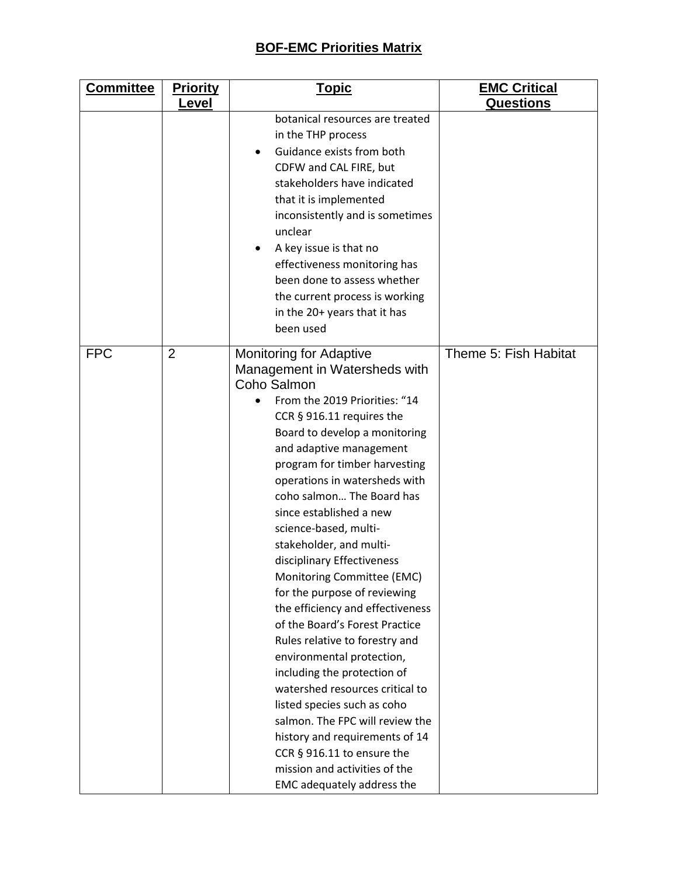| <b>Committee</b> | <b>Priority</b> | <u>Topic</u>                                                                                                                                                                                                                                                                                                                                                                                                                                                                                                                                                                                                                                                                                                                                                                                                                                                                               | <b>EMC Critical</b>   |
|------------------|-----------------|--------------------------------------------------------------------------------------------------------------------------------------------------------------------------------------------------------------------------------------------------------------------------------------------------------------------------------------------------------------------------------------------------------------------------------------------------------------------------------------------------------------------------------------------------------------------------------------------------------------------------------------------------------------------------------------------------------------------------------------------------------------------------------------------------------------------------------------------------------------------------------------------|-----------------------|
|                  | Level           |                                                                                                                                                                                                                                                                                                                                                                                                                                                                                                                                                                                                                                                                                                                                                                                                                                                                                            | <b>Questions</b>      |
|                  |                 | botanical resources are treated<br>in the THP process<br>Guidance exists from both<br>CDFW and CAL FIRE, but<br>stakeholders have indicated<br>that it is implemented<br>inconsistently and is sometimes<br>unclear<br>A key issue is that no<br>٠<br>effectiveness monitoring has<br>been done to assess whether<br>the current process is working<br>in the 20+ years that it has<br>been used                                                                                                                                                                                                                                                                                                                                                                                                                                                                                           |                       |
| <b>FPC</b>       | $\overline{2}$  | <b>Monitoring for Adaptive</b><br>Management in Watersheds with<br>Coho Salmon<br>From the 2019 Priorities: "14<br>CCR § 916.11 requires the<br>Board to develop a monitoring<br>and adaptive management<br>program for timber harvesting<br>operations in watersheds with<br>coho salmon The Board has<br>since established a new<br>science-based, multi-<br>stakeholder, and multi-<br>disciplinary Effectiveness<br>Monitoring Committee (EMC)<br>for the purpose of reviewing<br>the efficiency and effectiveness<br>of the Board's Forest Practice<br>Rules relative to forestry and<br>environmental protection,<br>including the protection of<br>watershed resources critical to<br>listed species such as coho<br>salmon. The FPC will review the<br>history and requirements of 14<br>CCR § 916.11 to ensure the<br>mission and activities of the<br>EMC adequately address the | Theme 5: Fish Habitat |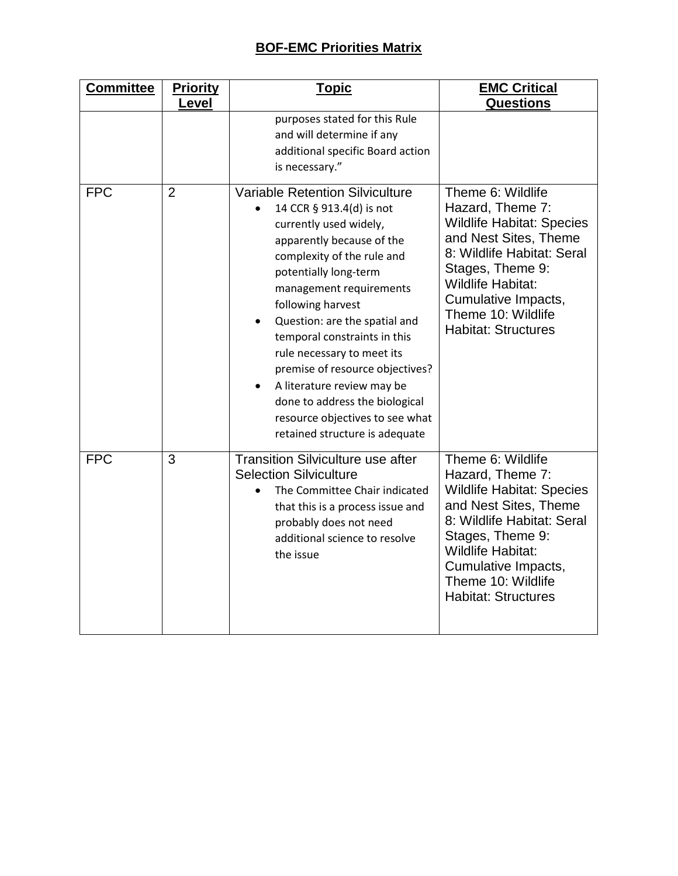| <b>Committee</b> | <b>Priority</b> | <u>Topic</u>                                                                                                                                                                                                                                                                                                                                                                                                                                                                                            | <b>EMC Critical</b>                                                                                                                                                                                                                                         |
|------------------|-----------------|---------------------------------------------------------------------------------------------------------------------------------------------------------------------------------------------------------------------------------------------------------------------------------------------------------------------------------------------------------------------------------------------------------------------------------------------------------------------------------------------------------|-------------------------------------------------------------------------------------------------------------------------------------------------------------------------------------------------------------------------------------------------------------|
|                  | Level           | purposes stated for this Rule<br>and will determine if any<br>additional specific Board action<br>is necessary."                                                                                                                                                                                                                                                                                                                                                                                        | <b>Questions</b>                                                                                                                                                                                                                                            |
| <b>FPC</b>       | $\overline{2}$  | <b>Variable Retention Silviculture</b><br>14 CCR § 913.4(d) is not<br>currently used widely,<br>apparently because of the<br>complexity of the rule and<br>potentially long-term<br>management requirements<br>following harvest<br>Question: are the spatial and<br>temporal constraints in this<br>rule necessary to meet its<br>premise of resource objectives?<br>A literature review may be<br>done to address the biological<br>resource objectives to see what<br>retained structure is adequate | Theme 6: Wildlife<br>Hazard, Theme 7:<br><b>Wildlife Habitat: Species</b><br>and Nest Sites, Theme<br>8: Wildlife Habitat: Seral<br>Stages, Theme 9:<br><b>Wildlife Habitat:</b><br>Cumulative Impacts,<br>Theme 10: Wildlife<br><b>Habitat: Structures</b> |
| <b>FPC</b>       | 3               | <b>Transition Silviculture use after</b><br><b>Selection Silviculture</b><br>The Committee Chair indicated<br>that this is a process issue and<br>probably does not need<br>additional science to resolve<br>the issue                                                                                                                                                                                                                                                                                  | Theme 6: Wildlife<br>Hazard, Theme 7:<br><b>Wildlife Habitat: Species</b><br>and Nest Sites, Theme<br>8: Wildlife Habitat: Seral<br>Stages, Theme 9:<br><b>Wildlife Habitat:</b><br>Cumulative Impacts,<br>Theme 10: Wildlife<br><b>Habitat: Structures</b> |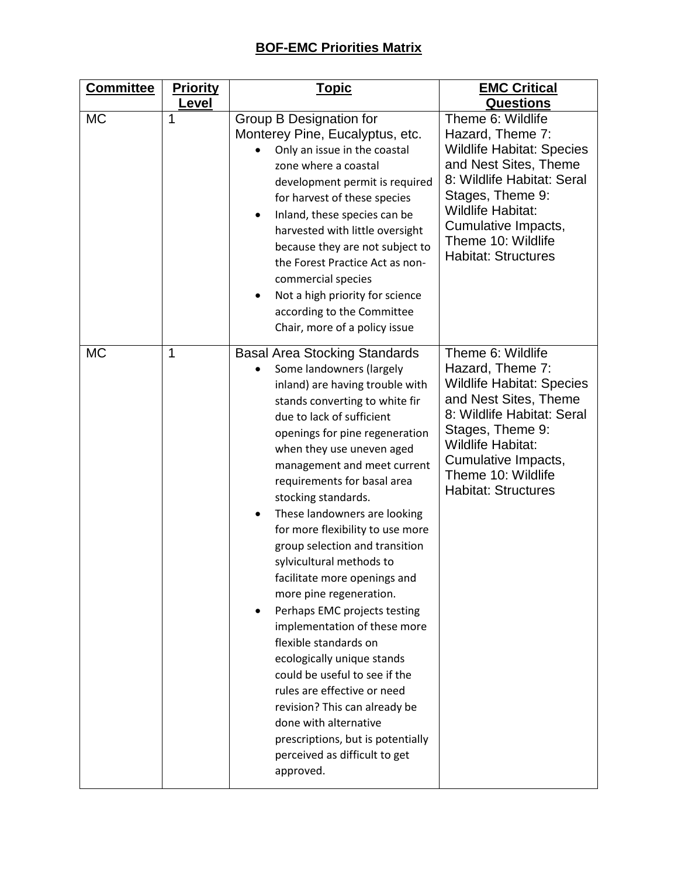| <b>Committee</b> | <b>Priority</b> | <u>Topic</u>                                                                                                                                                                                                                                                                                                                                                                                                                                                                                                                                                                                                                                                                                                                                                                                                                                                         | <b>EMC Critical</b>                                                                                                                                                                                                                                         |
|------------------|-----------------|----------------------------------------------------------------------------------------------------------------------------------------------------------------------------------------------------------------------------------------------------------------------------------------------------------------------------------------------------------------------------------------------------------------------------------------------------------------------------------------------------------------------------------------------------------------------------------------------------------------------------------------------------------------------------------------------------------------------------------------------------------------------------------------------------------------------------------------------------------------------|-------------------------------------------------------------------------------------------------------------------------------------------------------------------------------------------------------------------------------------------------------------|
|                  | Level           |                                                                                                                                                                                                                                                                                                                                                                                                                                                                                                                                                                                                                                                                                                                                                                                                                                                                      | <b>Questions</b>                                                                                                                                                                                                                                            |
| <b>MC</b>        | 1               | Group B Designation for<br>Monterey Pine, Eucalyptus, etc.<br>Only an issue in the coastal<br>zone where a coastal<br>development permit is required<br>for harvest of these species<br>Inland, these species can be<br>$\bullet$<br>harvested with little oversight<br>because they are not subject to<br>the Forest Practice Act as non-<br>commercial species<br>Not a high priority for science<br>٠<br>according to the Committee<br>Chair, more of a policy issue                                                                                                                                                                                                                                                                                                                                                                                              | Theme 6: Wildlife<br>Hazard, Theme 7:<br><b>Wildlife Habitat: Species</b><br>and Nest Sites, Theme<br>8: Wildlife Habitat: Seral<br>Stages, Theme 9:<br><b>Wildlife Habitat:</b><br>Cumulative Impacts,<br>Theme 10: Wildlife<br><b>Habitat: Structures</b> |
| <b>MC</b>        | 1               | <b>Basal Area Stocking Standards</b><br>Some landowners (largely<br>inland) are having trouble with<br>stands converting to white fir<br>due to lack of sufficient<br>openings for pine regeneration<br>when they use uneven aged<br>management and meet current<br>requirements for basal area<br>stocking standards.<br>These landowners are looking<br>$\bullet$<br>for more flexibility to use more<br>group selection and transition<br>sylvicultural methods to<br>facilitate more openings and<br>more pine regeneration.<br>Perhaps EMC projects testing<br>implementation of these more<br>flexible standards on<br>ecologically unique stands<br>could be useful to see if the<br>rules are effective or need<br>revision? This can already be<br>done with alternative<br>prescriptions, but is potentially<br>perceived as difficult to get<br>approved. | Theme 6: Wildlife<br>Hazard, Theme 7:<br><b>Wildlife Habitat: Species</b><br>and Nest Sites, Theme<br>8: Wildlife Habitat: Seral<br>Stages, Theme 9:<br><b>Wildlife Habitat:</b><br>Cumulative Impacts,<br>Theme 10: Wildlife<br><b>Habitat: Structures</b> |